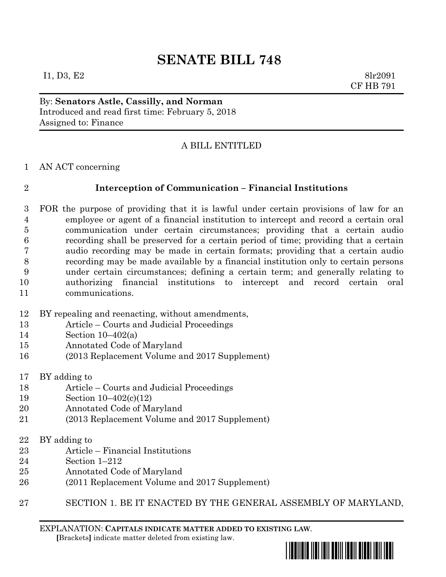# **SENATE BILL 748**

 $I1, D3, E2$  8lr2091 CF HB 791

By: **Senators Astle, Cassilly, and Norman** Introduced and read first time: February 5, 2018 Assigned to: Finance

## A BILL ENTITLED

AN ACT concerning

### **Interception of Communication – Financial Institutions**

- FOR the purpose of providing that it is lawful under certain provisions of law for an employee or agent of a financial institution to intercept and record a certain oral communication under certain circumstances; providing that a certain audio recording shall be preserved for a certain period of time; providing that a certain audio recording may be made in certain formats; providing that a certain audio recording may be made available by a financial institution only to certain persons under certain circumstances; defining a certain term; and generally relating to authorizing financial institutions to intercept and record certain oral communications.
- BY repealing and reenacting, without amendments,
- Article Courts and Judicial Proceedings
- Section 10–402(a)
- Annotated Code of Maryland
- (2013 Replacement Volume and 2017 Supplement)
- BY adding to
- Article Courts and Judicial Proceedings
- Section 10–402(c)(12)
- Annotated Code of Maryland
- (2013 Replacement Volume and 2017 Supplement)
- BY adding to
- Article Financial Institutions
- Section 1–212
- Annotated Code of Maryland
- (2011 Replacement Volume and 2017 Supplement)
- SECTION 1. BE IT ENACTED BY THE GENERAL ASSEMBLY OF MARYLAND,

EXPLANATION: **CAPITALS INDICATE MATTER ADDED TO EXISTING LAW**.  **[**Brackets**]** indicate matter deleted from existing law.

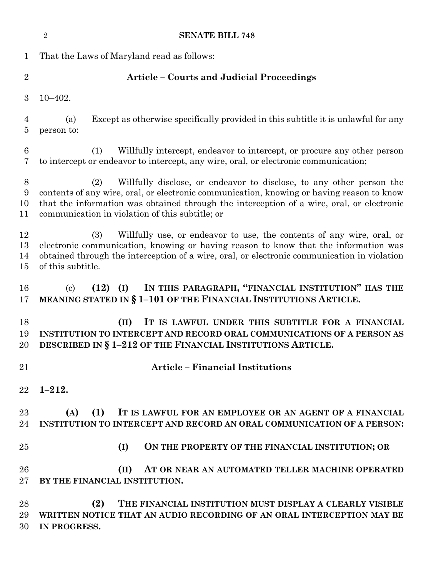|                          | <b>SENATE BILL 748</b><br>$\overline{2}$                                                                                                                                                                                                                                                                                 |
|--------------------------|--------------------------------------------------------------------------------------------------------------------------------------------------------------------------------------------------------------------------------------------------------------------------------------------------------------------------|
| $\mathbf 1$              | That the Laws of Maryland read as follows:                                                                                                                                                                                                                                                                               |
| $\overline{2}$           | <b>Article - Courts and Judicial Proceedings</b>                                                                                                                                                                                                                                                                         |
| 3                        | $10 - 402.$                                                                                                                                                                                                                                                                                                              |
| 4<br>$\overline{5}$      | Except as otherwise specifically provided in this subtitle it is unlawful for any<br>(a)<br>person to:                                                                                                                                                                                                                   |
| $\,6\,$<br>7             | Willfully intercept, endeavor to intercept, or procure any other person<br>(1)<br>to intercept or endeavor to intercept, any wire, oral, or electronic communication;                                                                                                                                                    |
| 8<br>9<br>10<br>11       | Willfully disclose, or endeavor to disclose, to any other person the<br>(2)<br>contents of any wire, oral, or electronic communication, knowing or having reason to know<br>that the information was obtained through the interception of a wire, oral, or electronic<br>communication in violation of this subtitle; or |
| 12<br>13<br>14<br>$15\,$ | Willfully use, or endeavor to use, the contents of any wire, oral, or<br>(3)<br>electronic communication, knowing or having reason to know that the information was<br>obtained through the interception of a wire, oral, or electronic communication in violation<br>of this subtitle.                                  |
| 16<br>17                 | IN THIS PARAGRAPH, "FINANCIAL INSTITUTION" HAS THE<br>$(12)$ $(I)$<br>$\left( \mathrm{c}\right)$<br>MEANING STATED IN § 1-101 OF THE FINANCIAL INSTITUTIONS ARTICLE.                                                                                                                                                     |
| 18<br>19<br>20           | IT IS LAWFUL UNDER THIS SUBTITLE FOR A FINANCIAL<br>(II)<br>INSTITUTION TO INTERCEPT AND RECORD ORAL COMMUNICATIONS OF A PERSON AS<br>DESCRIBED IN § 1-212 OF THE FINANCIAL INSTITUTIONS ARTICLE.                                                                                                                        |
| 21                       | <b>Article - Financial Institutions</b>                                                                                                                                                                                                                                                                                  |
| $22\,$                   | $1 - 212.$                                                                                                                                                                                                                                                                                                               |
| 23<br>24                 | (1)<br>(A)<br>IT IS LAWFUL FOR AN EMPLOYEE OR AN AGENT OF A FINANCIAL<br>INSTITUTION TO INTERCEPT AND RECORD AN ORAL COMMUNICATION OF A PERSON:                                                                                                                                                                          |
| 25                       | (I)<br>ON THE PROPERTY OF THE FINANCIAL INSTITUTION; OR                                                                                                                                                                                                                                                                  |
| 26<br>$27\,$             | (II)<br>AT OR NEAR AN AUTOMATED TELLER MACHINE OPERATED<br>BY THE FINANCIAL INSTITUTION.                                                                                                                                                                                                                                 |
| 28<br>29<br>30           | (2)<br>THE FINANCIAL INSTITUTION MUST DISPLAY A CLEARLY VISIBLE<br>WRITTEN NOTICE THAT AN AUDIO RECORDING OF AN ORAL INTERCEPTION MAY BE<br>IN PROGRESS.                                                                                                                                                                 |